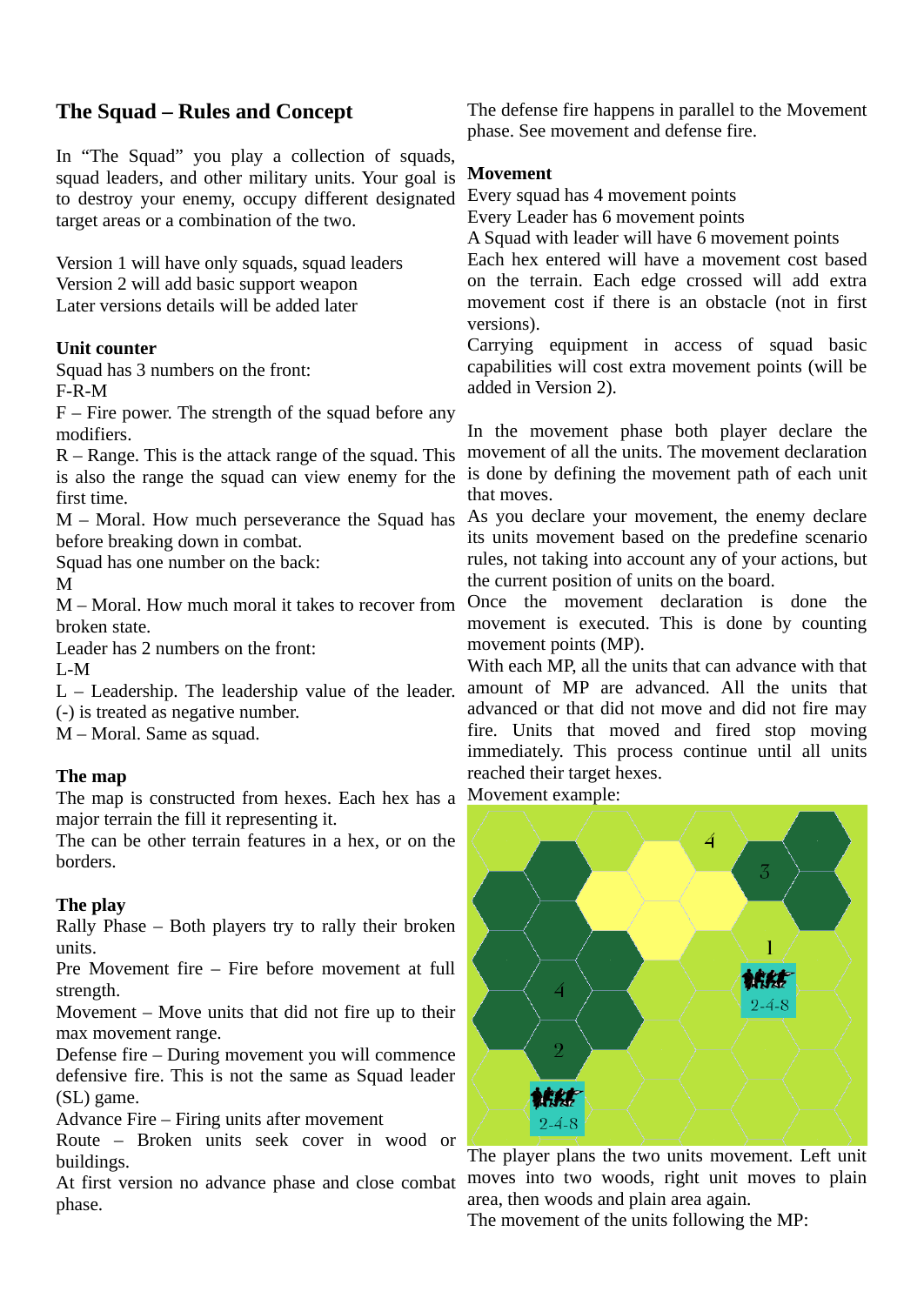# **The Squad – Rules and Concept**

In "The Squad" you play a collection of squads, squad leaders, and other military units. Your goal is to destroy your enemy, occupy different designated target areas or a combination of the two.

Version 1 will have only squads, squad leaders Version 2 will add basic support weapon Later versions details will be added later

## **Unit counter**

Squad has 3 numbers on the front: F-R-M

 $F$  – Fire power. The strength of the squad before any modifiers.

R – Range. This is the attack range of the squad. This is also the range the squad can view enemy for the first time.

M – Moral. How much perseverance the Squad has before breaking down in combat.

Squad has one number on the back:

M

M – Moral. How much moral it takes to recover from broken state.

Leader has 2 numbers on the front:

L-M

L – Leadership. The leadership value of the leader. (-) is treated as negative number.

M – Moral. Same as squad.

## **The map**

The map is constructed from hexes. Each hex has a Movement example: major terrain the fill it representing it.

The can be other terrain features in a hex, or on the borders.

## **The play**

Rally Phase – Both players try to rally their broken units.

Pre Movement fire – Fire before movement at full strength.

Movement – Move units that did not fire up to their max movement range.

Defense fire – During movement you will commence defensive fire. This is not the same as Squad leader (SL) game.

Advance Fire – Firing units after movement

Route – Broken units seek cover in wood or buildings.

At first version no advance phase and close combat phase.

The defense fire happens in parallel to the Movement phase. See movement and defense fire.

### **Movement**

Every squad has 4 movement points

Every Leader has 6 movement points

A Squad with leader will have 6 movement points

Each hex entered will have a movement cost based on the terrain. Each edge crossed will add extra movement cost if there is an obstacle (not in first versions).

Carrying equipment in access of squad basic capabilities will cost extra movement points (will be added in Version 2).

In the movement phase both player declare the movement of all the units. The movement declaration is done by defining the movement path of each unit that moves.

As you declare your movement, the enemy declare its units movement based on the predefine scenario rules, not taking into account any of your actions, but the current position of units on the board.

Once the movement declaration is done the movement is executed. This is done by counting movement points (MP).

With each MP, all the units that can advance with that amount of MP are advanced. All the units that advanced or that did not move and did not fire may fire. Units that moved and fired stop moving immediately. This process continue until all units reached their target hexes.



The player plans the two units movement. Left unit moves into two woods, right unit moves to plain area, then woods and plain area again.

The movement of the units following the MP: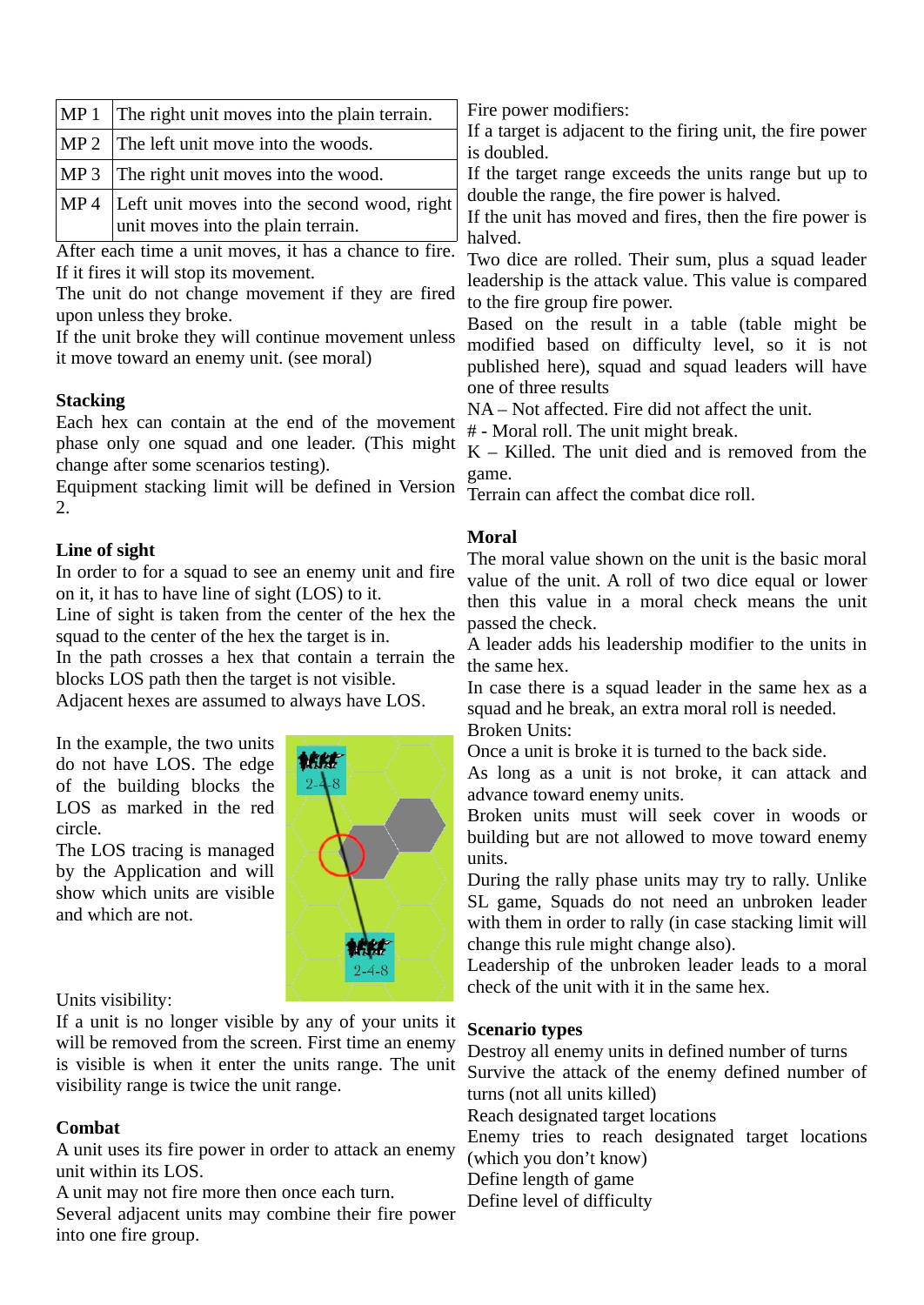| $\vert MP 1 \vert$ The right unit moves into the plain terrain.                        |  |
|----------------------------------------------------------------------------------------|--|
| $\vert$ MP 2 $\vert$ The left unit move into the woods.                                |  |
| MP 3 The right unit moves into the wood.                                               |  |
| MP 4 Left unit moves into the second wood, right<br>unit moves into the plain terrain. |  |

After each time a unit moves, it has a chance to fire. If it fires it will stop its movement.

The unit do not change movement if they are fired upon unless they broke.

If the unit broke they will continue movement unless it move toward an enemy unit. (see moral)

### **Stacking**

Each hex can contain at the end of the movement phase only one squad and one leader. (This might change after some scenarios testing).

Equipment stacking limit will be defined in Version 2.

### **Line of sight**

In order to for a squad to see an enemy unit and fire on it, it has to have line of sight (LOS) to it.

Line of sight is taken from the center of the hex the squad to the center of the hex the target is in.

In the path crosses a hex that contain a terrain the blocks LOS path then the target is not visible.

Adjacent hexes are assumed to always have LOS.

In the example, the two units do not have LOS. The edge of the building blocks the LOS as marked in the red circle.

The LOS tracing is managed by the Application and will show which units are visible and which are not.



#### Units visibility:

If a unit is no longer visible by any of your units it will be removed from the screen. First time an enemy is visible is when it enter the units range. The unit visibility range is twice the unit range.

### **Combat**

A unit uses its fire power in order to attack an enemy unit within its LOS.

A unit may not fire more then once each turn.

Several adjacent units may combine their fire power into one fire group.

Fire power modifiers:

If a target is adjacent to the firing unit, the fire power is doubled.

If the target range exceeds the units range but up to double the range, the fire power is halved.

If the unit has moved and fires, then the fire power is halved.

Two dice are rolled. Their sum, plus a squad leader leadership is the attack value. This value is compared to the fire group fire power.

Based on the result in a table (table might be modified based on difficulty level, so it is not published here), squad and squad leaders will have one of three results

NA – Not affected. Fire did not affect the unit.

# - Moral roll. The unit might break.

 $K - K$ illed. The unit died and is removed from the game.

Terrain can affect the combat dice roll.

### **Moral**

The moral value shown on the unit is the basic moral value of the unit. A roll of two dice equal or lower then this value in a moral check means the unit passed the check.

A leader adds his leadership modifier to the units in the same hex.

In case there is a squad leader in the same hex as a squad and he break, an extra moral roll is needed.

Broken Units:

Once a unit is broke it is turned to the back side.

As long as a unit is not broke, it can attack and advance toward enemy units.

Broken units must will seek cover in woods or building but are not allowed to move toward enemy units.

During the rally phase units may try to rally. Unlike SL game, Squads do not need an unbroken leader with them in order to rally (in case stacking limit will change this rule might change also).

Leadership of the unbroken leader leads to a moral check of the unit with it in the same hex.

### **Scenario types**

Destroy all enemy units in defined number of turns Survive the attack of the enemy defined number of turns (not all units killed) Reach designated target locations Enemy tries to reach designated target locations (which you don't know) Define length of game Define level of difficulty